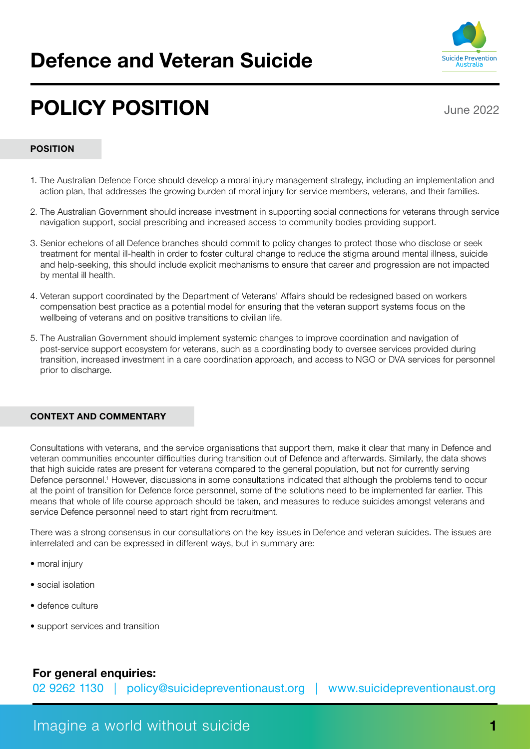# Defence and Veteran Suicide



# POLICY POSITION

June 2022

#### POSITION

- 1. The Australian Defence Force should develop a moral injury management strategy, including an implementation and action plan, that addresses the growing burden of moral injury for service members, veterans, and their families.
- 2. The Australian Government should increase investment in supporting social connections for veterans through service navigation support, social prescribing and increased access to community bodies providing support.
- 3. Senior echelons of all Defence branches should commit to policy changes to protect those who disclose or seek treatment for mental ill-health in order to foster cultural change to reduce the stigma around mental illness, suicide and help-seeking, this should include explicit mechanisms to ensure that career and progression are not impacted by mental ill health.
- 4. Veteran support coordinated by the Department of Veterans' Affairs should be redesigned based on workers compensation best practice as a potential model for ensuring that the veteran support systems focus on the wellbeing of veterans and on positive transitions to civilian life.
- 5. The Australian Government should implement systemic changes to improve coordination and navigation of post-service support ecosystem for veterans, such as a coordinating body to oversee services provided during transition, increased investment in a care coordination approach, and access to NGO or DVA services for personnel prior to discharge.

#### CONTEXT AND COMMENTARY

Consultations with veterans, and the service organisations that support them, make it clear that many in Defence and veteran communities encounter difficulties during transition out of Defence and afterwards. Similarly, the data shows that high suicide rates are present for veterans compared to the general population, but not for currently serving Defence personnel.<sup>1</sup> However, discussions in some consultations indicated that although the problems tend to occur at the point of transition for Defence force personnel, some of the solutions need to be implemented far earlier. This means that whole of life course approach should be taken, and measures to reduce suicides amongst veterans and service Defence personnel need to start right from recruitment.

There was a strong consensus in our consultations on the key issues in Defence and veteran suicides. The issues are interrelated and can be expressed in different ways, but in summary are:

- moral injury
- social isolation
- defence culture
- support services and transition

# For general enquiries:

02 9262 1130 | [policy@suicidepreventionaust.org](mailto:policy@suicidepreventionaust.org) | www.suicidepreventionaust.org

# Imagine a world without suicide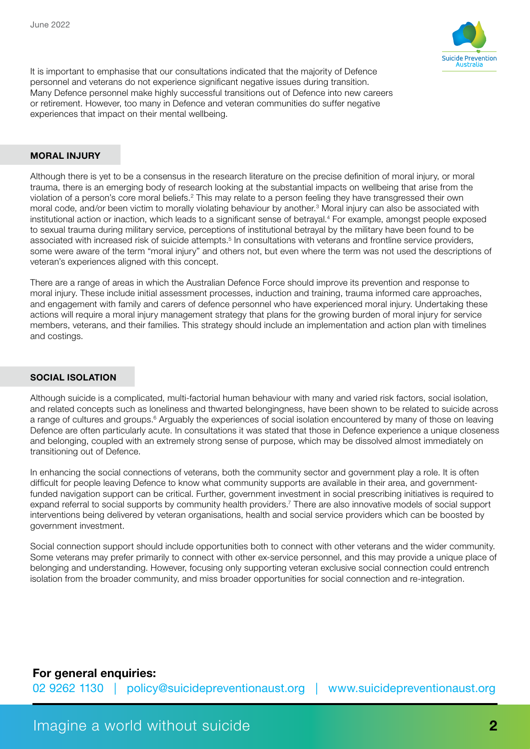

It is important to emphasise that our consultations indicated that the majority of Defence personnel and veterans do not experience significant negative issues during transition. Many Defence personnel make highly successful transitions out of Defence into new careers or retirement. However, too many in Defence and veteran communities do suffer negative experiences that impact on their mental wellbeing.

#### MORAL INJURY

Although there is yet to be a consensus in the research literature on the precise definition of moral injury, or moral trauma, there is an emerging body of research looking at the substantial impacts on wellbeing that arise from the violation of a person's core moral beliefs.<sup>2</sup> This may relate to a person feeling they have transgressed their own moral code, and/or been victim to morally violating behaviour by another.<sup>3</sup> Moral injury can also be associated with institutional action or inaction, which leads to a significant sense of betrayal.4 For example, amongst people exposed to sexual trauma during military service, perceptions of institutional betrayal by the military have been found to be associated with increased risk of suicide attempts.<sup>5</sup> In consultations with veterans and frontline service providers, some were aware of the term "moral injury" and others not, but even where the term was not used the descriptions of veteran's experiences aligned with this concept.

There are a range of areas in which the Australian Defence Force should improve its prevention and response to moral injury. These include initial assessment processes, induction and training, trauma informed care approaches, and engagement with family and carers of defence personnel who have experienced moral injury. Undertaking these actions will require a moral injury management strategy that plans for the growing burden of moral injury for service members, veterans, and their families. This strategy should include an implementation and action plan with timelines and costings.

#### SOCIAL ISOLATION

Although suicide is a complicated, multi-factorial human behaviour with many and varied risk factors, social isolation, and related concepts such as loneliness and thwarted belongingness, have been shown to be related to suicide across a range of cultures and groups.<sup>6</sup> Arguably the experiences of social isolation encountered by many of those on leaving Defence are often particularly acute. In consultations it was stated that those in Defence experience a unique closeness and belonging, coupled with an extremely strong sense of purpose, which may be dissolved almost immediately on transitioning out of Defence.

In enhancing the social connections of veterans, both the community sector and government play a role. It is often difficult for people leaving Defence to know what community supports are available in their area, and governmentfunded navigation support can be critical. Further, government investment in social prescribing initiatives is required to expand referral to social supports by community health providers.7 There are also innovative models of social support interventions being delivered by veteran organisations, health and social service providers which can be boosted by government investment.

Social connection support should include opportunities both to connect with other veterans and the wider community. Some veterans may prefer primarily to connect with other ex-service personnel, and this may provide a unique place of belonging and understanding. However, focusing only supporting veteran exclusive social connection could entrench isolation from the broader community, and miss broader opportunities for social connection and re-integration.

# For general enquiries:

02 9262 1130 | [policy@suicidepreventionaust.org](mailto:policy@suicidepreventionaust.org) | www.suicidepreventionaust.org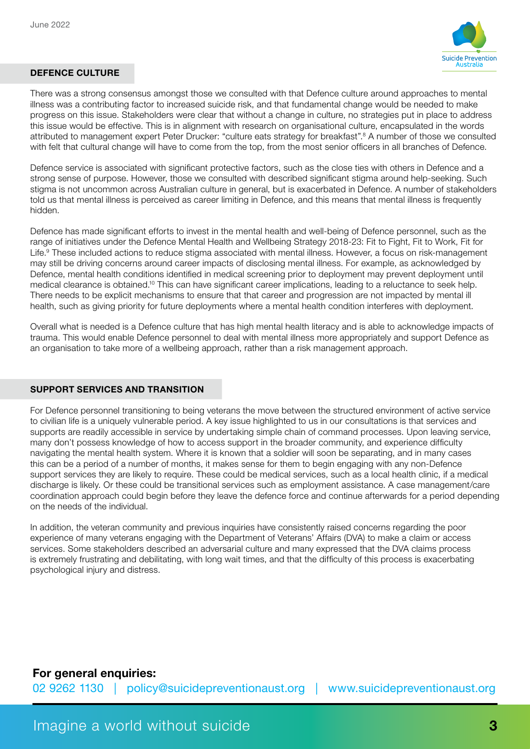

#### DEFENCE CULTURE

There was a strong consensus amongst those we consulted with that Defence culture around approaches to mental illness was a contributing factor to increased suicide risk, and that fundamental change would be needed to make progress on this issue. Stakeholders were clear that without a change in culture, no strategies put in place to address this issue would be effective. This is in alignment with research on organisational culture, encapsulated in the words attributed to management expert Peter Drucker: "culture eats strategy for breakfast".8 A number of those we consulted with felt that cultural change will have to come from the top, from the most senior officers in all branches of Defence.

Defence service is associated with significant protective factors, such as the close ties with others in Defence and a strong sense of purpose. However, those we consulted with described significant stigma around help-seeking. Such stigma is not uncommon across Australian culture in general, but is exacerbated in Defence. A number of stakeholders told us that mental illness is perceived as career limiting in Defence, and this means that mental illness is frequently hidden.

Defence has made significant efforts to invest in the mental health and well-being of Defence personnel, such as the range of initiatives under the Defence Mental Health and Wellbeing Strategy 2018-23: Fit to Fight, Fit to Work, Fit for Life.9 These included actions to reduce stigma associated with mental illness. However, a focus on risk-management may still be driving concerns around career impacts of disclosing mental illness. For example, as acknowledged by Defence, mental health conditions identified in medical screening prior to deployment may prevent deployment until medical clearance is obtained.10 This can have significant career implications, leading to a reluctance to seek help. There needs to be explicit mechanisms to ensure that that career and progression are not impacted by mental ill health, such as giving priority for future deployments where a mental health condition interferes with deployment.

Overall what is needed is a Defence culture that has high mental health literacy and is able to acknowledge impacts of trauma. This would enable Defence personnel to deal with mental illness more appropriately and support Defence as an organisation to take more of a wellbeing approach, rather than a risk management approach.

#### SUPPORT SERVICES AND TRANSITION

For Defence personnel transitioning to being veterans the move between the structured environment of active service to civilian life is a uniquely vulnerable period. A key issue highlighted to us in our consultations is that services and supports are readily accessible in service by undertaking simple chain of command processes. Upon leaving service, many don't possess knowledge of how to access support in the broader community, and experience difficulty navigating the mental health system. Where it is known that a soldier will soon be separating, and in many cases this can be a period of a number of months, it makes sense for them to begin engaging with any non-Defence support services they are likely to require. These could be medical services, such as a local health clinic, if a medical discharge is likely. Or these could be transitional services such as employment assistance. A case management/care coordination approach could begin before they leave the defence force and continue afterwards for a period depending on the needs of the individual.

In addition, the veteran community and previous inquiries have consistently raised concerns regarding the poor experience of many veterans engaging with the Department of Veterans' Affairs (DVA) to make a claim or access services. Some stakeholders described an adversarial culture and many expressed that the DVA claims process is extremely frustrating and debilitating, with long wait times, and that the difficulty of this process is exacerbating psychological injury and distress.

### For general enquiries:

02 9262 1130 | [policy@suicidepreventionaust.org](mailto:policy@suicidepreventionaust.org) | www.suicidepreventionaust.org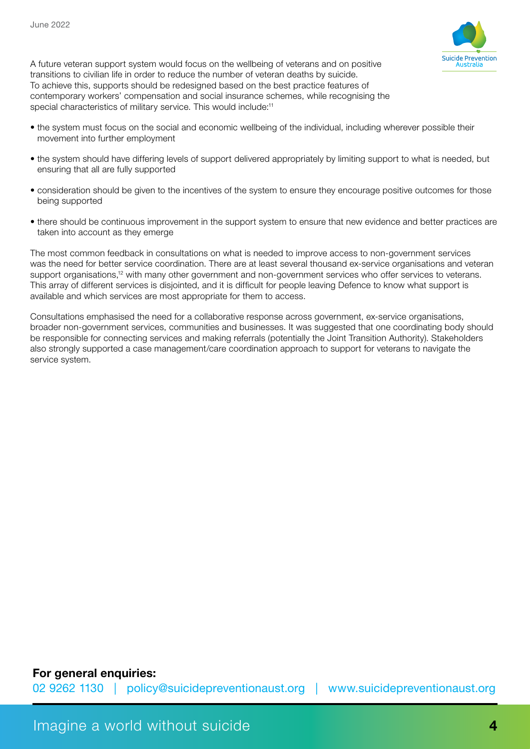

A future veteran support system would focus on the wellbeing of veterans and on positive transitions to civilian life in order to reduce the number of veteran deaths by suicide. To achieve this, supports should be redesigned based on the best practice features of contemporary workers' compensation and social insurance schemes, while recognising the special characteristics of military service. This would include:<sup>11</sup>

- the system must focus on the social and economic wellbeing of the individual, including wherever possible their movement into further employment
- the system should have differing levels of support delivered appropriately by limiting support to what is needed, but ensuring that all are fully supported
- consideration should be given to the incentives of the system to ensure they encourage positive outcomes for those being supported
- there should be continuous improvement in the support system to ensure that new evidence and better practices are taken into account as they emerge

The most common feedback in consultations on what is needed to improve access to non-government services was the need for better service coordination. There are at least several thousand ex-service organisations and veteran support organisations,<sup>12</sup> with many other government and non-government services who offer services to veterans. This array of different services is disjointed, and it is difficult for people leaving Defence to know what support is available and which services are most appropriate for them to access.

Consultations emphasised the need for a collaborative response across government, ex-service organisations, broader non-government services, communities and businesses. It was suggested that one coordinating body should be responsible for connecting services and making referrals (potentially the Joint Transition Authority). Stakeholders also strongly supported a case management/care coordination approach to support for veterans to navigate the service system.

# For general enquiries:

02 9262 1130 | [policy@suicidepreventionaust.org](mailto:policy@suicidepreventionaust.org) | www.suicidepreventionaust.org